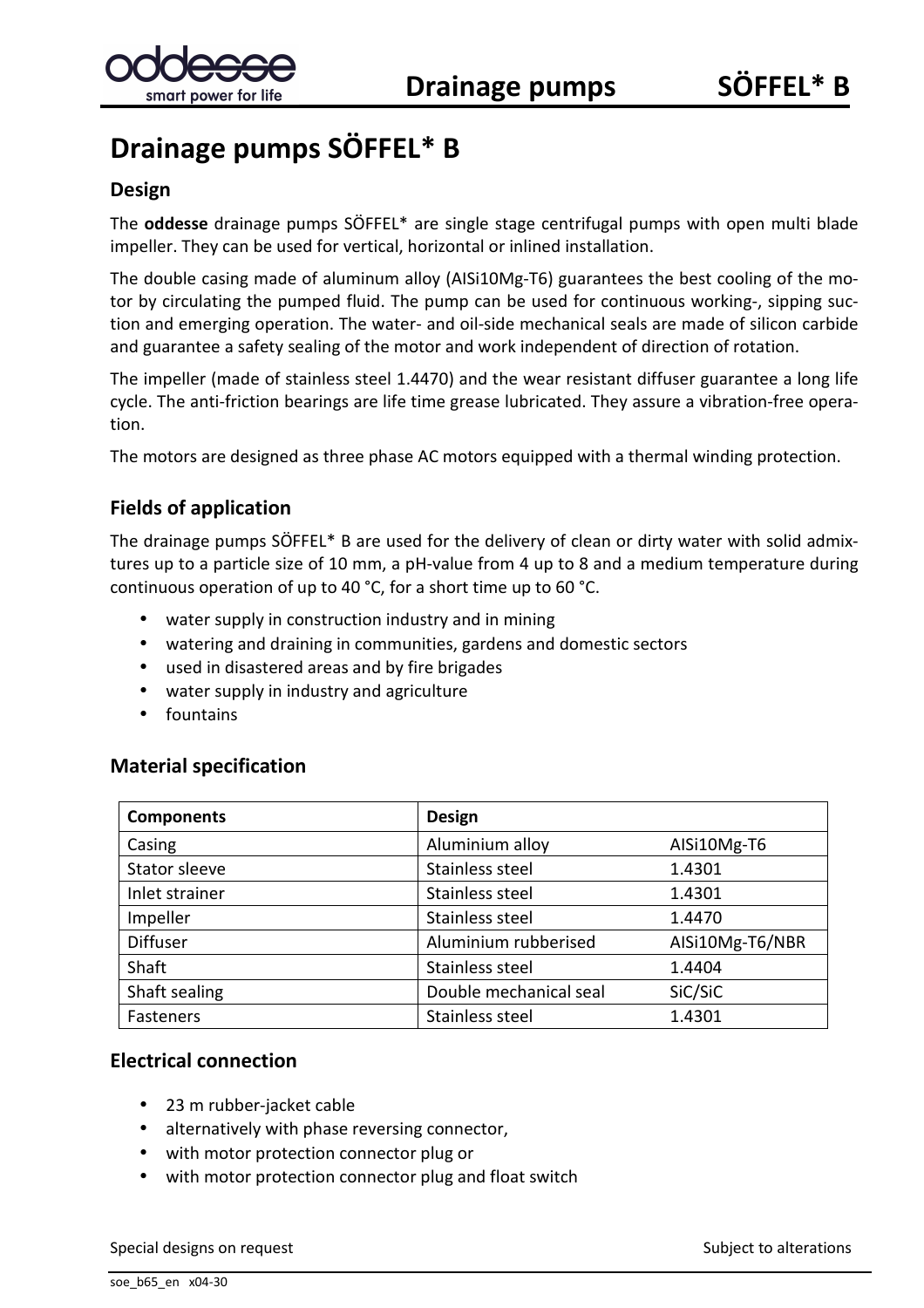# **Drainage pumps SÖFFEL\* B**

#### **Design**

The **oddesse** drainage pumps SÖFFEL\* are single stage centrifugal pumps with open multi blade impeller. They can be used for vertical, horizontal or inlined installation.

The double casing made of aluminum alloy (AISi10Mg-T6) guarantees the best cooling of the motor by circulating the pumped fluid. The pump can be used for continuous working-, sipping suction and emerging operation. The water- and oil-side mechanical seals are made of silicon carbide and guarantee a safety sealing of the motor and work independent of direction of rotation.

The impeller (made of stainless steel 1.4470) and the wear resistant diffuser guarantee a long life cycle. The anti-friction bearings are life time grease lubricated. They assure a vibration-free operation.

The motors are designed as three phase AC motors equipped with a thermal winding protection.

### **Fields of application**

The drainage pumps SÖFFEL\* B are used for the delivery of clean or dirty water with solid admixtures up to a particle size of 10 mm, a pH-value from 4 up to 8 and a medium temperature during continuous operation of up to 40 °C, for a short time up to 60 °C.

- water supply in construction industry and in mining
- watering and draining in communities, gardens and domestic sectors
- used in disastered areas and by fire brigades
- water supply in industry and agriculture
- fountains

#### **Material specification**

| <b>Components</b> | <b>Design</b>          |                 |
|-------------------|------------------------|-----------------|
| Casing            | Aluminium alloy        | AISi10Mg-T6     |
| Stator sleeve     | Stainless steel        | 1.4301          |
| Inlet strainer    | Stainless steel        | 1.4301          |
| Impeller          | Stainless steel        | 1.4470          |
| <b>Diffuser</b>   | Aluminium rubberised   | AlSi10Mg-T6/NBR |
| Shaft             | Stainless steel        | 1.4404          |
| Shaft sealing     | Double mechanical seal | SiC/SiC         |
| Fasteners         | Stainless steel        | 1.4301          |

#### **Electrical connection**

- 23 m rubber-jacket cable
- alternatively with phase reversing connector,
- with motor protection connector plug or
- with motor protection connector plug and float switch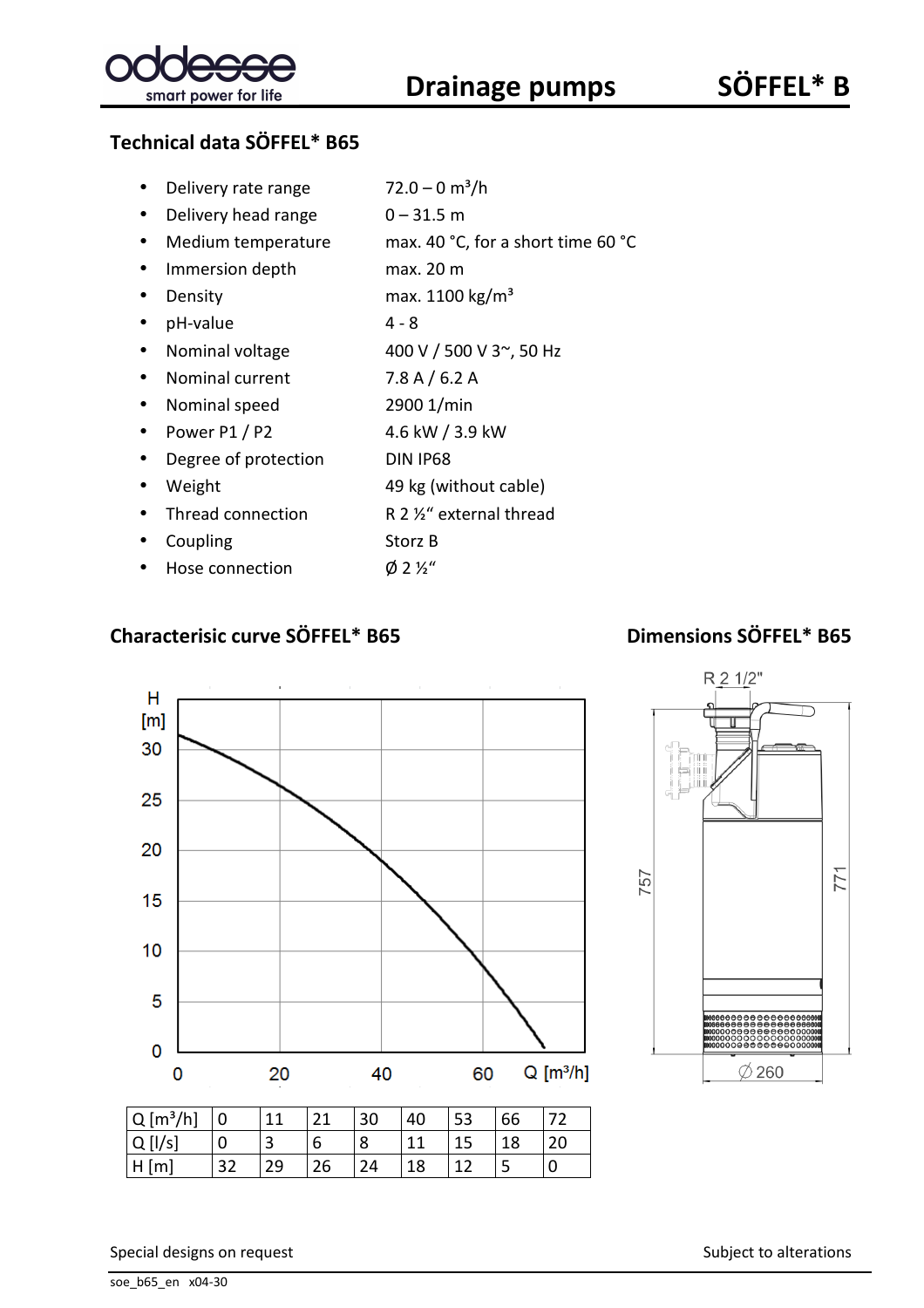

|  | Delivery rate range | $72.0 - 0$ m <sup>3</sup> /h |
|--|---------------------|------------------------------|
|--|---------------------|------------------------------|

- Delivery head range  $0 31.5$  m
- Medium temperature max. 40 °C, for a short time 60 °C
- Immersion depth max. 20 m
- Density max.  $1100 \text{ kg/m}^3$
- $\bullet$  pH-value  $4 8$
- Nominal voltage  $400 \text{ V}$  / 500 V 3 $\degree$ , 50 Hz
- Nominal current 7.8 A / 6.2 A
- Nominal speed 2900 1/min
- Power P1 / P2 4.6 kW / 3.9 kW
- Degree of protection DIN IP68
- Weight 49 kg (without cable)
- Thread connection R 2 1/2" external thread
- Coupling Storz B
- Hose connection  $\emptyset$  2 ½"

# **Characterisic curve SÖFFEL\* B65 Dimensions SÖFFEL\* B65**





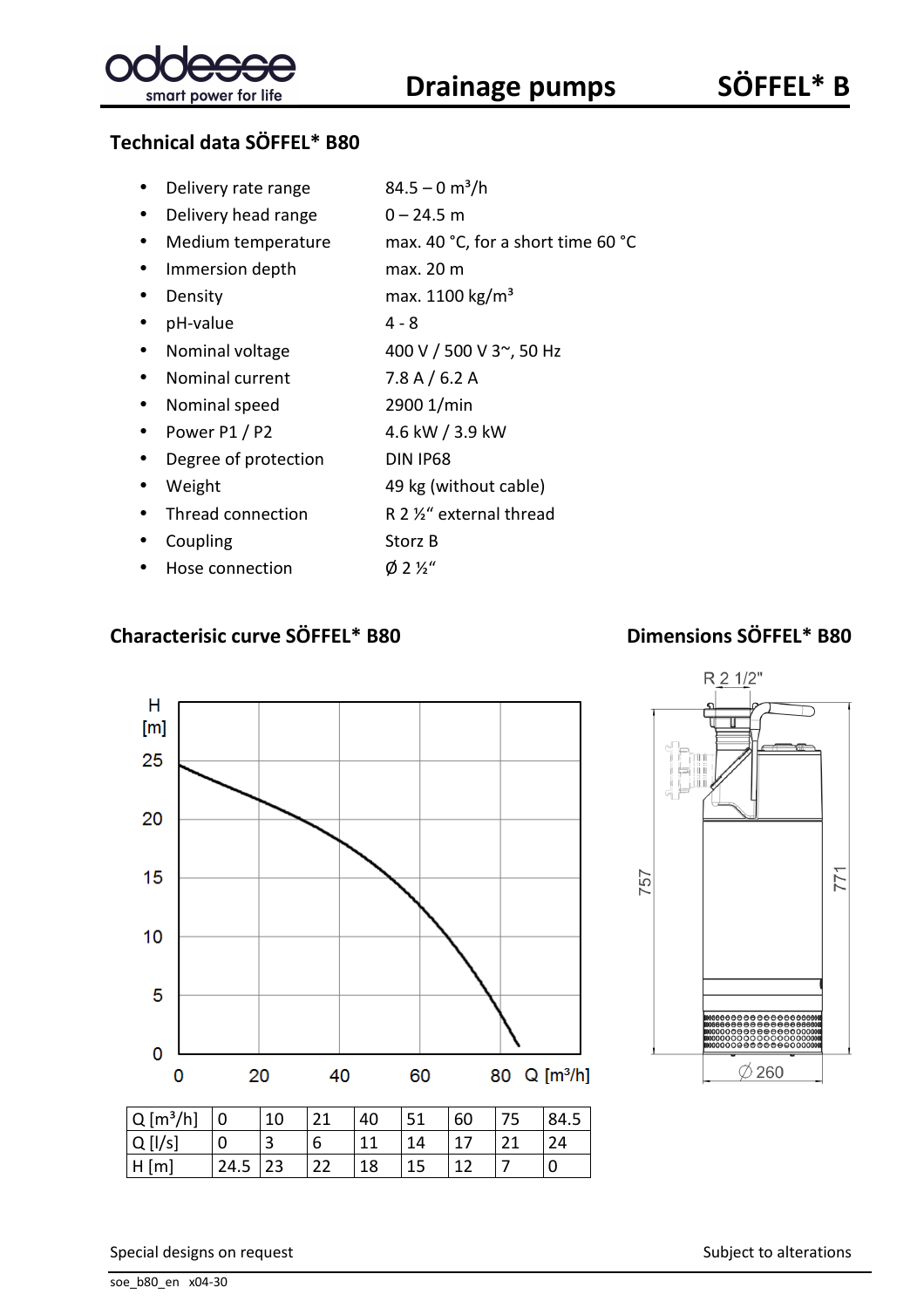

|  | Delivery rate range | $84.5 - 0$ m <sup>3</sup> /h |
|--|---------------------|------------------------------|
|--|---------------------|------------------------------|

- Delivery head range  $0 24.5$  m
- Medium temperature max. 40 °C, for a short time 60 °C
- Immersion depth max. 20 m
- Density max.  $1100 \text{ kg/m}^3$
- $\bullet$  pH-value  $4 8$
- Nominal voltage  $400 \text{ V} / 500 \text{ V}$  3 $\degree$ , 50 Hz
- Nominal current 7.8 A / 6.2 A
- Nominal speed 2900 1/min
- Power P1 / P2 4.6 kW / 3.9 kW
- Degree of protection DIN IP68
- Weight 49 kg (without cable)
- Thread connection R 2 1/2" external thread
- Coupling Storz B
- Hose connection  $\emptyset$  2 ½"

### **Characterisic curve SÖFFEL\* B80 Dimensions SÖFFEL\* B80**





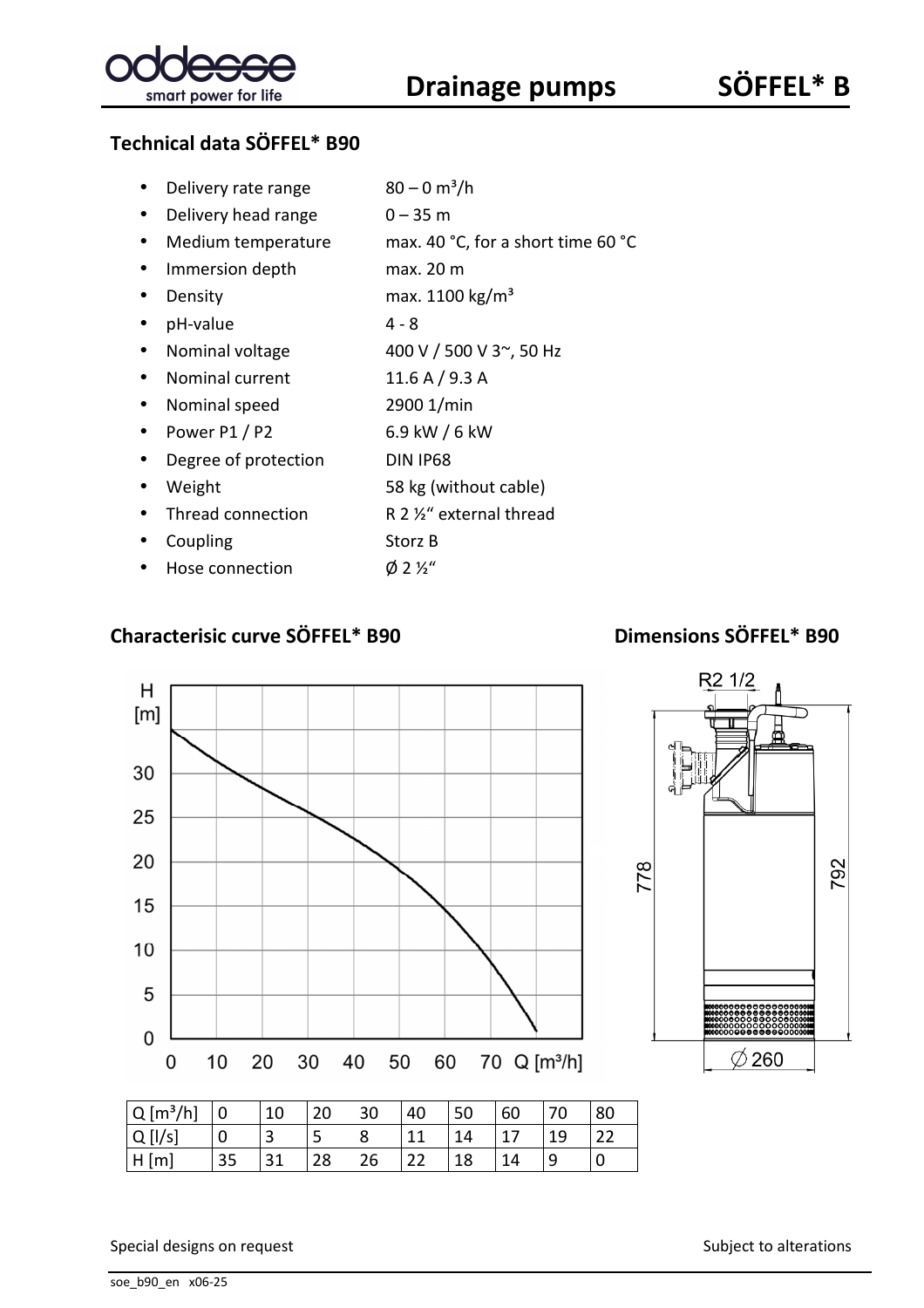

- Delivery rate range  $80 0$  m<sup>3</sup>/h
- Delivery head range  $0 35$  m
- Medium temperature max. 40 °C, for a short time 60 °C
- Immersion depth max. 20 m
- Density max. 1100 kg/m<sup>3</sup>
- $\bullet$  pH-value  $4 8$
- Nominal voltage  $400 \text{ V}$  / 500 V 3 $\degree$ , 50 Hz
- Nominal current 11.6 A / 9.3 A
- Nominal speed 2900 1/min
- Power P $1 / P2$  6.9 kW / 6 kW
- Degree of protection DIN IP68
- Weight 58 kg (without cable)
- Thread connection R 2 1/2" external thread
- Coupling Storz B
- Hose connection  $\emptyset$  2 ½"

### **Characterisic curve SÖFFEL\* B90 Dimensions SÖFFEL\* B90**



| $Q[m^3/h]$ 0 |    | 10 | 20 | 30 | 40 | 50 | 60 | 70 | 80 |
|--------------|----|----|----|----|----|----|----|----|----|
| Q[1/s]       |    |    | ر  |    |    | 14 |    | 19 | 22 |
| H[m]         | 35 | 31 | 28 | 26 | 22 | 18 | 14 |    |    |

Special designs on request Subject to alterations Subject to alterations